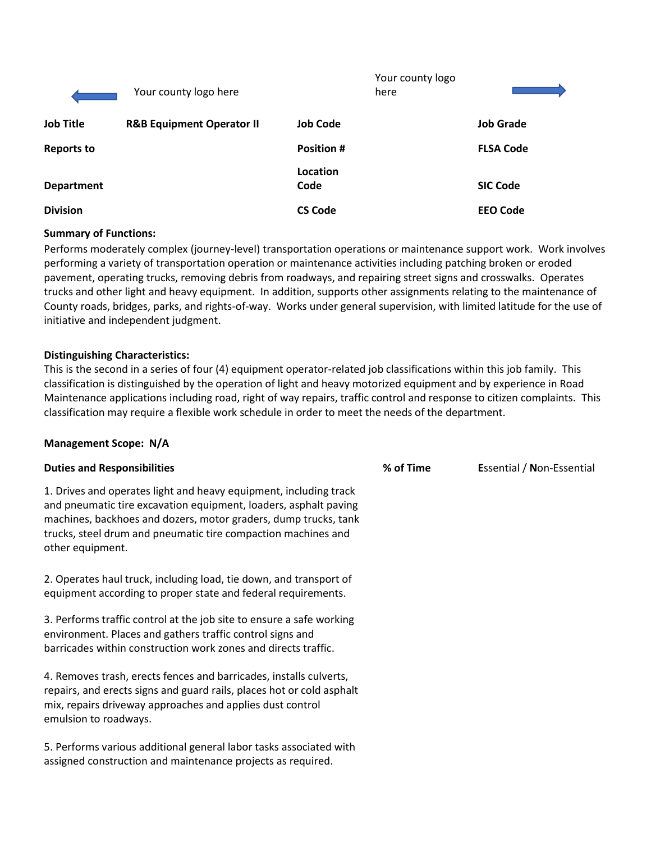|                   | Your county logo here                |                   | Your county logo<br>here |                  |
|-------------------|--------------------------------------|-------------------|--------------------------|------------------|
| <b>Job Title</b>  | <b>R&amp;B Equipment Operator II</b> | <b>Job Code</b>   |                          | <b>Job Grade</b> |
| <b>Reports to</b> |                                      | <b>Position #</b> |                          | <b>FLSA Code</b> |
| <b>Department</b> |                                      | Location<br>Code  |                          | <b>SIC Code</b>  |
| <b>Division</b>   |                                      | <b>CS Code</b>    |                          | <b>EEO Code</b>  |

#### **Summary of Functions:**

Performs moderately complex (journey-level) transportation operations or maintenance support work. Work involves performing a variety of transportation operation or maintenance activities including patching broken or eroded pavement, operating trucks, removing debris from roadways, and repairing street signs and crosswalks. Operates trucks and other light and heavy equipment. In addition, supports other assignments relating to the maintenance of County roads, bridges, parks, and rights-of-way. Works under general supervision, with limited latitude for the use of initiative and independent judgment.

#### **Distinguishing Characteristics:**

This is the second in a series of four (4) equipment operator-related job classifications within this job family. This classification is distinguished by the operation of light and heavy motorized equipment and by experience in Road Maintenance applications including road, right of way repairs, traffic control and response to citizen complaints. This classification may require a flexible work schedule in order to meet the needs of the department.

#### **Management Scope: N/A**

| <b>Duties and Responsibilities</b>                                                                                                                                                                                                                                                            | % of Time | Essential / Non-Essential |
|-----------------------------------------------------------------------------------------------------------------------------------------------------------------------------------------------------------------------------------------------------------------------------------------------|-----------|---------------------------|
| 1. Drives and operates light and heavy equipment, including track<br>and pneumatic tire excavation equipment, loaders, asphalt paving<br>machines, backhoes and dozers, motor graders, dump trucks, tank<br>trucks, steel drum and pneumatic tire compaction machines and<br>other equipment. |           |                           |
| 2. Operates haul truck, including load, tie down, and transport of<br>equipment according to proper state and federal requirements.                                                                                                                                                           |           |                           |
| 3. Performs traffic control at the job site to ensure a safe working<br>environment. Places and gathers traffic control signs and<br>barricades within construction work zones and directs traffic.                                                                                           |           |                           |
| 4. Removes trash, erects fences and barricades, installs culverts,<br>repairs, and erects signs and guard rails, places hot or cold asphalt<br>mix, repairs driveway approaches and applies dust control<br>emulsion to roadways.                                                             |           |                           |
| 5. Performs various additional general labor tasks associated with<br>assigned construction and maintenance projects as required.                                                                                                                                                             |           |                           |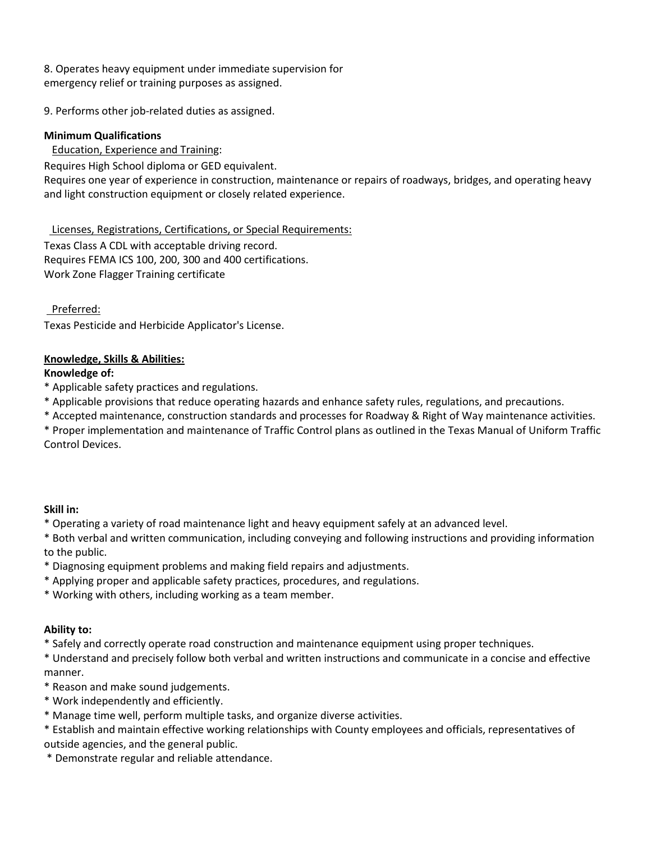8. Operates heavy equipment under immediate supervision for emergency relief or training purposes as assigned.

9. Performs other job-related duties as assigned.

## **Minimum Qualifications**

Education, Experience and Training:

Requires High School diploma or GED equivalent.

Requires one year of experience in construction, maintenance or repairs of roadways, bridges, and operating heavy and light construction equipment or closely related experience.

 Licenses, Registrations, Certifications, or Special Requirements: Texas Class A CDL with acceptable driving record. Requires FEMA ICS 100, 200, 300 and 400 certifications. Work Zone Flagger Training certificate

Preferred:

Texas Pesticide and Herbicide Applicator's License.

## **Knowledge, Skills & Abilities:**

#### **Knowledge of:**

\* Applicable safety practices and regulations.

\* Applicable provisions that reduce operating hazards and enhance safety rules, regulations, and precautions.

\* Accepted maintenance, construction standards and processes for Roadway & Right of Way maintenance activities.

\* Proper implementation and maintenance of Traffic Control plans as outlined in the Texas Manual of Uniform Traffic Control Devices.

#### **Skill in:**

\* Operating a variety of road maintenance light and heavy equipment safely at an advanced level.

\* Both verbal and written communication, including conveying and following instructions and providing information to the public.

\* Diagnosing equipment problems and making field repairs and adjustments.

\* Applying proper and applicable safety practices, procedures, and regulations.

\* Working with others, including working as a team member.

# **Ability to:**

\* Safely and correctly operate road construction and maintenance equipment using proper techniques.

\* Understand and precisely follow both verbal and written instructions and communicate in a concise and effective manner.

\* Reason and make sound judgements.

- \* Work independently and efficiently.
- \* Manage time well, perform multiple tasks, and organize diverse activities.

\* Establish and maintain effective working relationships with County employees and officials, representatives of outside agencies, and the general public.

\* Demonstrate regular and reliable attendance.